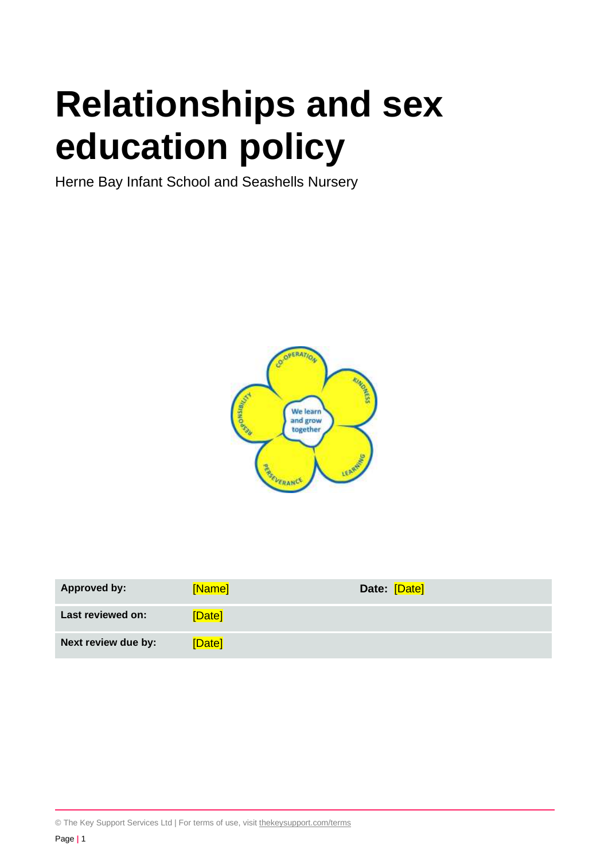# **Relationships and sex education policy**

Herne Bay Infant School and Seashells Nursery



| <b>Approved by:</b> | [Name] | Date: [Date] |
|---------------------|--------|--------------|
| Last reviewed on:   | [Date] |              |
| Next review due by: | [Date] |              |

© The Key Support Services Ltd | For terms of use, visit [thekeysupport.com/terms](https://thekeysupport.com/terms-of-use)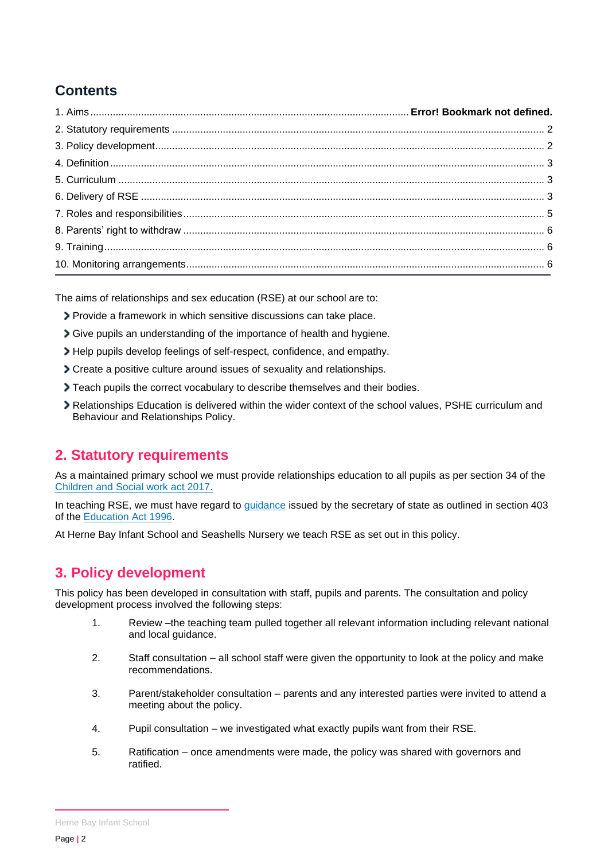# **Contents**

The aims of relationships and sex education (RSE) at our school are to:

- Provide a framework in which sensitive discussions can take place.
- Give pupils an understanding of the importance of health and hygiene.
- Help pupils develop feelings of self-respect, confidence, and empathy.
- Create a positive culture around issues of sexuality and relationships.
- Teach pupils the correct vocabulary to describe themselves and their bodies.
- Relationships Education is delivered within the wider context of the school values, PSHE curriculum and Behaviour and Relationships Policy.

## <span id="page-1-0"></span>**2. Statutory requirements**

As a maintained primary school we must provide relationships education to all pupils as per section 34 of the [Children and Social work act 2017.](http://www.legislation.gov.uk/ukpga/2017/16/section/34/enacted)

In teaching RSE, we must have regard to [guidance](https://www.gov.uk/government/consultations/relationships-and-sex-education-and-health-education) issued by the secretary of state as outlined in section 403 of the [Education](http://www.legislation.gov.uk/ukpga/1996/56/contents) Act 1996.

At Herne Bay Infant School and Seashells Nursery we teach RSE as set out in this policy.

# <span id="page-1-1"></span>**3. Policy development**

This policy has been developed in consultation with staff, pupils and parents. The consultation and policy development process involved the following steps:

- 1. Review –the teaching team pulled together all relevant information including relevant national and local guidance.
- 2. Staff consultation all school staff were given the opportunity to look at the policy and make recommendations.
- 3. Parent/stakeholder consultation parents and any interested parties were invited to attend a meeting about the policy.
- 4. Pupil consultation we investigated what exactly pupils want from their RSE.
- 5. Ratification once amendments were made, the policy was shared with governors and ratified.

Herne Bay Infant School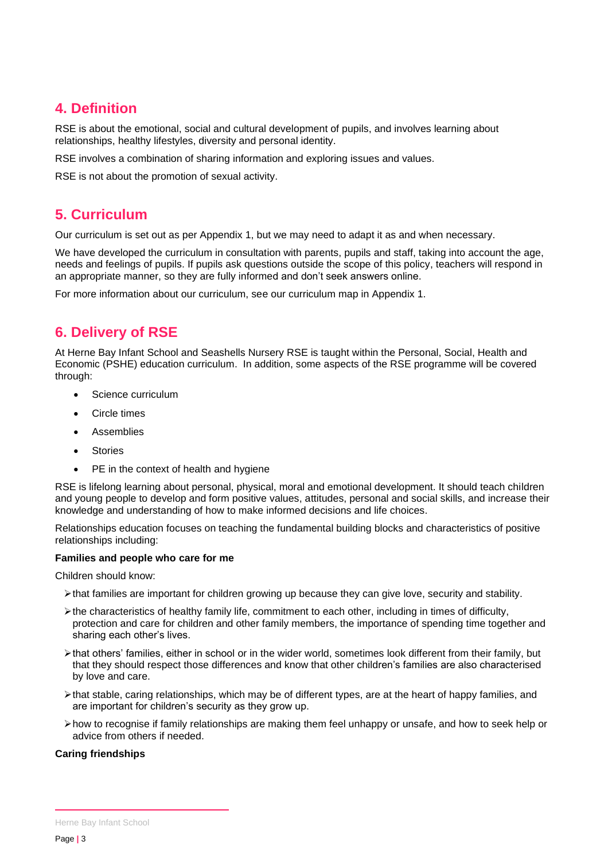## <span id="page-2-0"></span>**4. Definition**

RSE is about the emotional, social and cultural development of pupils, and involves learning about relationships, healthy lifestyles, diversity and personal identity.

RSE involves a combination of sharing information and exploring issues and values.

RSE is not about the promotion of sexual activity.

## <span id="page-2-1"></span>**5. Curriculum**

Our curriculum is set out as per Appendix 1, but we may need to adapt it as and when necessary.

We have developed the curriculum in consultation with parents, pupils and staff, taking into account the age, needs and feelings of pupils. If pupils ask questions outside the scope of this policy, teachers will respond in an appropriate manner, so they are fully informed and don't seek answers online.

For more information about our curriculum, see our curriculum map in Appendix 1.

# <span id="page-2-2"></span>**6. Delivery of RSE**

At Herne Bay Infant School and Seashells Nursery RSE is taught within the Personal, Social, Health and Economic (PSHE) education curriculum. In addition, some aspects of the RSE programme will be covered through:

- Science curriculum
- Circle times
- Assemblies
- **Stories**
- PE in the context of health and hygiene

RSE is lifelong learning about personal, physical, moral and emotional development. It should teach children and young people to develop and form positive values, attitudes, personal and social skills, and increase their knowledge and understanding of how to make informed decisions and life choices.

Relationships education focuses on teaching the fundamental building blocks and characteristics of positive relationships including:

#### **Families and people who care for me**

Children should know:

- $\triangleright$  that families are important for children growing up because they can give love, security and stability.
- $\triangleright$  the characteristics of healthy family life, commitment to each other, including in times of difficulty, protection and care for children and other family members, the importance of spending time together and sharing each other's lives.
- ➢that others' families, either in school or in the wider world, sometimes look different from their family, but that they should respect those differences and know that other children's families are also characterised by love and care.
- ➢that stable, caring relationships, which may be of different types, are at the heart of happy families, and are important for children's security as they grow up.
- ➢how to recognise if family relationships are making them feel unhappy or unsafe, and how to seek help or advice from others if needed.

#### **Caring friendships**

Herne Bay Infant School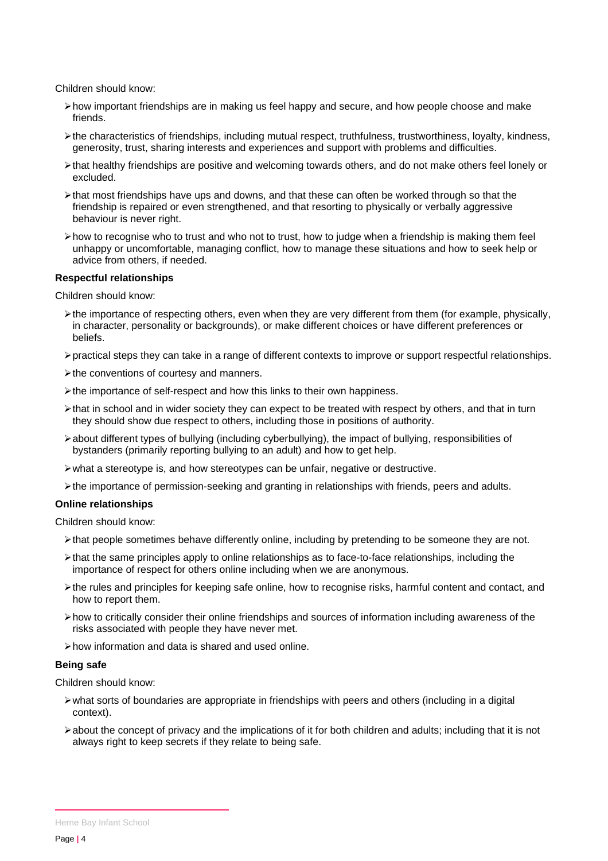Children should know:

- ➢how important friendships are in making us feel happy and secure, and how people choose and make friends.
- ➢the characteristics of friendships, including mutual respect, truthfulness, trustworthiness, loyalty, kindness, generosity, trust, sharing interests and experiences and support with problems and difficulties.
- ➢that healthy friendships are positive and welcoming towards others, and do not make others feel lonely or excluded.
- ➢that most friendships have ups and downs, and that these can often be worked through so that the friendship is repaired or even strengthened, and that resorting to physically or verbally aggressive behaviour is never right.
- ➢how to recognise who to trust and who not to trust, how to judge when a friendship is making them feel unhappy or uncomfortable, managing conflict, how to manage these situations and how to seek help or advice from others, if needed.

#### **Respectful relationships**

Children should know:

- ➢the importance of respecting others, even when they are very different from them (for example, physically, in character, personality or backgrounds), or make different choices or have different preferences or beliefs.
- ➢practical steps they can take in a range of different contexts to improve or support respectful relationships.
- ➢the conventions of courtesy and manners.
- ➢the importance of self-respect and how this links to their own happiness.
- ➢that in school and in wider society they can expect to be treated with respect by others, and that in turn they should show due respect to others, including those in positions of authority.
- $\triangleright$  about different types of bullying (including cyberbullying), the impact of bullying, responsibilities of bystanders (primarily reporting bullying to an adult) and how to get help.
- $\triangleright$  what a stereotype is, and how stereotypes can be unfair, negative or destructive.
- ➢the importance of permission-seeking and granting in relationships with friends, peers and adults.

#### **Online relationships**

Children should know:

- ➢that people sometimes behave differently online, including by pretending to be someone they are not.
- ➢that the same principles apply to online relationships as to face-to-face relationships, including the importance of respect for others online including when we are anonymous.
- ➢the rules and principles for keeping safe online, how to recognise risks, harmful content and contact, and how to report them.
- ➢how to critically consider their online friendships and sources of information including awareness of the risks associated with people they have never met.
- ➢how information and data is shared and used online.

#### **Being safe**

Children should know:

- ➢what sorts of boundaries are appropriate in friendships with peers and others (including in a digital context).
- ➢about the concept of privacy and the implications of it for both children and adults; including that it is not always right to keep secrets if they relate to being safe.

Herne Bay Infant School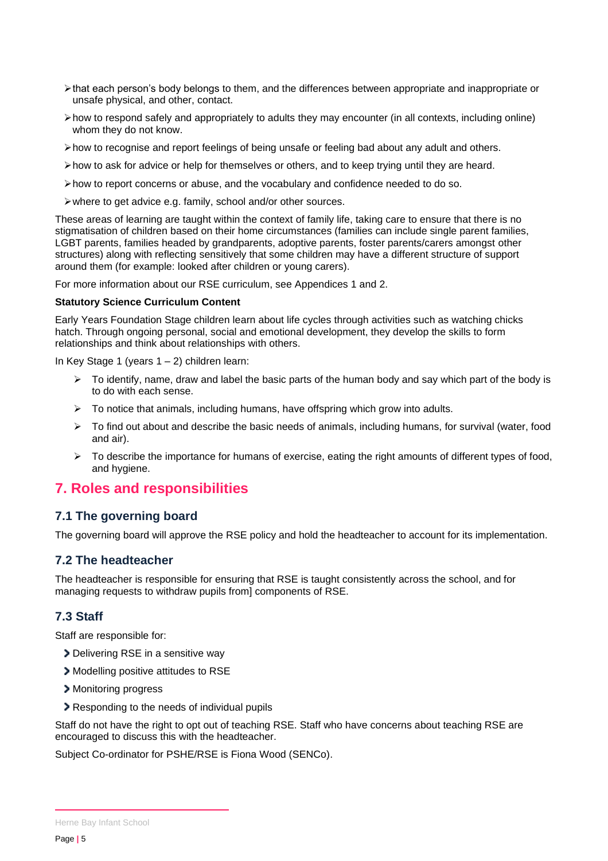- ➢that each person's body belongs to them, and the differences between appropriate and inappropriate or unsafe physical, and other, contact.
- $\triangleright$  how to respond safely and appropriately to adults they may encounter (in all contexts, including online) whom they do not know.
- ➢how to recognise and report feelings of being unsafe or feeling bad about any adult and others.
- ➢how to ask for advice or help for themselves or others, and to keep trying until they are heard.
- ➢how to report concerns or abuse, and the vocabulary and confidence needed to do so.
- ➢where to get advice e.g. family, school and/or other sources.

These areas of learning are taught within the context of family life, taking care to ensure that there is no stigmatisation of children based on their home circumstances (families can include single parent families, LGBT parents, families headed by grandparents, adoptive parents, foster parents/carers amongst other structures) along with reflecting sensitively that some children may have a different structure of support around them (for example: looked after children or young carers).

For more information about our RSE curriculum, see Appendices 1 and 2.

#### **Statutory Science Curriculum Content**

Early Years Foundation Stage children learn about life cycles through activities such as watching chicks hatch. Through ongoing personal, social and emotional development, they develop the skills to form relationships and think about relationships with others.

In Key Stage 1 (years 1 – 2) children learn:

- $\triangleright$  To identify, name, draw and label the basic parts of the human body and say which part of the body is to do with each sense.
- $\triangleright$  To notice that animals, including humans, have offspring which grow into adults.
- $\triangleright$  To find out about and describe the basic needs of animals, including humans, for survival (water, food and air).
- $\triangleright$  To describe the importance for humans of exercise, eating the right amounts of different types of food, and hygiene.

## <span id="page-4-0"></span>**7. Roles and responsibilities**

## **7.1 The governing board**

The governing board will approve the RSE policy and hold the headteacher to account for its implementation.

## **7.2 The headteacher**

The headteacher is responsible for ensuring that RSE is taught consistently across the school, and for managing requests to withdraw pupils from] components of RSE.

## **7.3 Staff**

Staff are responsible for:

- > Delivering RSE in a sensitive way
- Modelling positive attitudes to RSE
- Monitoring progress
- Responding to the needs of individual pupils

Staff do not have the right to opt out of teaching RSE. Staff who have concerns about teaching RSE are encouraged to discuss this with the headteacher.

Subject Co-ordinator for PSHE/RSE is Fiona Wood (SENCo).

Herne Bay Infant School